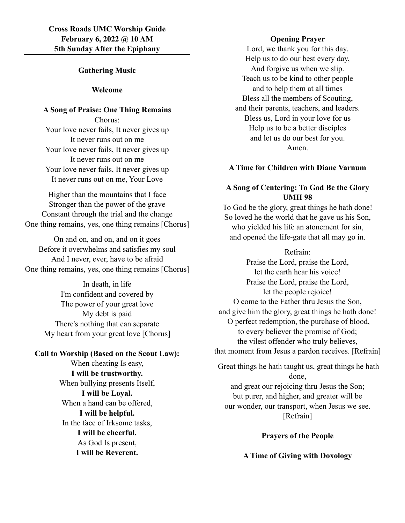# **Gathering Music**

## **Welcome**

# **A Song of Praise: One Thing Remains**

Chorus: Your love never fails, It never gives up It never runs out on me Your love never fails, It never gives up It never runs out on me Your love never fails, It never gives up It never runs out on me, Your Love

Higher than the mountains that I face Stronger than the power of the grave Constant through the trial and the change One thing remains, yes, one thing remains [Chorus]

On and on, and on, and on it goes Before it overwhelms and satisfies my soul And I never, ever, have to be afraid One thing remains, yes, one thing remains [Chorus]

> In death, in life I'm confident and covered by The power of your great love My debt is paid There's nothing that can separate My heart from your great love [Chorus]

**Call to Worship (Based on the Scout Law):** When cheating Is easy, **I will be trustworthy.** When bullying presents Itself, **I will be Loyal.**  When a hand can be offered, **I will be helpful.** In the face of Irksome tasks, **I will be cheerful.**  As God Is present, **I will be Reverent.** 

### **Opening Prayer**

Lord, we thank you for this day. Help us to do our best every day, And forgive us when we slip. Teach us to be kind to other people and to help them at all times Bless all the members of Scouting, and their parents, teachers, and leaders. Bless us, Lord in your love for us Help us to be a better disciples and let us do our best for you. Amen.

# **A Time for Children with Diane Varnum**

# **A Song of Centering: To God Be the Glory UMH 98**

To God be the glory, great things he hath done! So loved he the world that he gave us his Son, who yielded his life an atonement for sin, and opened the life-gate that all may go in.

Refrain: Praise the Lord, praise the Lord, let the earth hear his voice! Praise the Lord, praise the Lord, let the people rejoice! O come to the Father thru Jesus the Son, and give him the glory, great things he hath done! O perfect redemption, the purchase of blood, to every believer the promise of God; the vilest offender who truly believes, that moment from Jesus a pardon receives. [Refrain]

 Great things he hath taught us, great things he hath done,

and great our rejoicing thru Jesus the Son; but purer, and higher, and greater will be our wonder, our transport, when Jesus we see. [Refrain]

# **Prayers of the People**

# **A Time of Giving with Doxology**